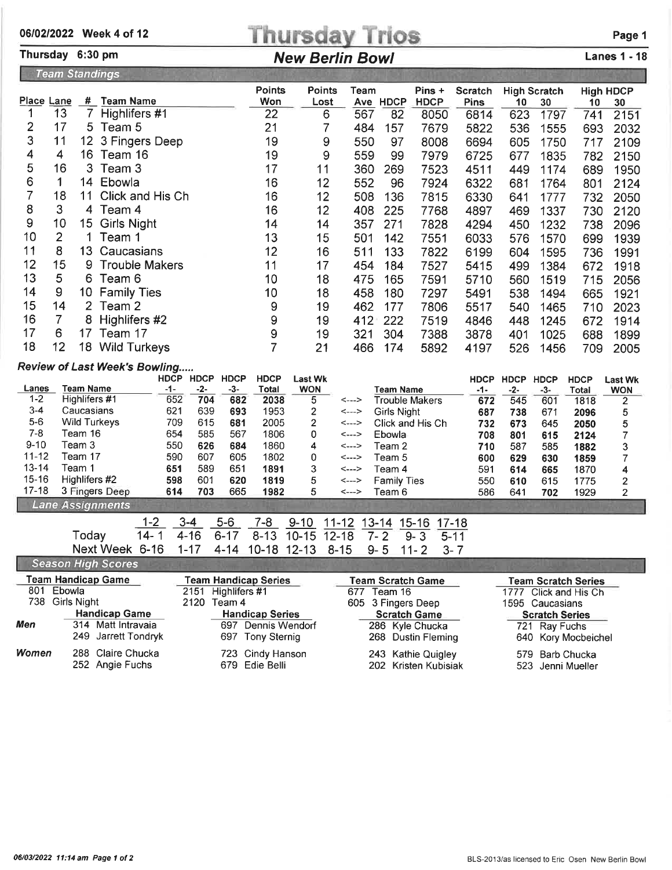## 06/02/2022 Week 4 of 12<br>
Thursday 6:30 pm<br>
New Berlin Bowl<br>
New Berlin Bowl<br>
Lanes 1 - 18

## Thursday 6:30 pm New Berlin Bowl

|                                                                       | <b>Team Standings</b> |                 |                       |                      |                |      |          |                       |                        |             |                           |             |                        |
|-----------------------------------------------------------------------|-----------------------|-----------------|-----------------------|----------------------|----------------|------|----------|-----------------------|------------------------|-------------|---------------------------|-------------|------------------------|
|                                                                       | Place Lane            | #               | <b>Team Name</b>      | <b>Points</b><br>Won | Points<br>Lost | Team | Ave HDCP | Pins +<br><b>HDCP</b> | Scratch<br><b>Pins</b> | 10          | <b>High Scratch</b><br>30 | 10          | <b>High HDCP</b><br>30 |
|                                                                       | 13                    |                 | Highlifers #1         | 22                   | 6              | 567  | 82       | 8050                  | 6814                   | 623         | 1797                      | 741         | 2151                   |
| 2                                                                     | 17                    |                 | 5 Team 5              | 21                   |                | 484  | 157      | 7679                  | 5822                   | 536         | 1555                      | 693         | 2032                   |
| 3                                                                     | 11                    |                 | 12 3 Fingers Deep     | 19                   | 9              | 550  | 97       | 8008                  | 6694                   | 605         | 1750                      | 717         | 2109                   |
| 4                                                                     | 4                     |                 | 16 Team 16            | 19                   | 9              | 559  | 99       | 7979                  | 6725                   | 677         | 1835                      | 782         | 2150                   |
| 5                                                                     | 16                    |                 | 3 Team 3              | 17                   | 11             | 360  | 269      | 7523                  | 4511                   | 449         | 1174                      | 689         | 1950                   |
| 6                                                                     | 1.                    | 14              | Ebowla                | 16                   | 12             | 552  | 96       | 7924                  | 6322                   | 681         | 1764                      | 801         | 2124                   |
|                                                                       | 18                    | 11              | Click and His Ch      | 16                   | 12             | 508  | 136      | 7815                  | 6330                   | 641         | 1777                      | 732         | 2050                   |
| 8                                                                     | 3                     |                 | 4 Team 4              | 16                   | 12             | 408  | 225      | 7768                  | 4897                   | 469         | 1337                      | 730         | 2120                   |
| 9                                                                     | 10                    | 15              | <b>Girls Night</b>    | 14                   | 14             | 357  | 271      | 7828                  | 4294                   | 450         | 1232                      | 738         | 2096                   |
| 10                                                                    | 2                     |                 | Team 1                | 13                   | 15             | 501  | 142      | 7551                  | 6033                   | 576         | 1570                      | 699         | 1939                   |
| 11                                                                    | 8                     | 13 <sup>°</sup> | Caucasians            | 12                   | 16             | 511  | 133      | 7822                  | 6199                   | 604         | 1595                      | 736         | 1991                   |
| 12                                                                    | 15                    | 9               | <b>Trouble Makers</b> | 11                   | 17             | 454  | 184      | 7527                  | 5415                   | 499         | 1384                      | 672         | 1918                   |
| 13                                                                    | 5                     | 6.              | Team 6                | 10                   | 18             | 475  | 165      | 7591                  | 5710                   | 560         | 1519                      | 715         | 2056                   |
| 14                                                                    | 9                     | 10              | <b>Family Ties</b>    | 10                   | 18             | 458  | 180      | 7297                  | 5491                   | 538         | 1494                      | 665         | 1921                   |
| 15                                                                    | 14                    |                 | 2 Team 2              | 9                    | 19             | 462  | 177      | 7806                  | 5517                   | 540         | 1465                      | 710         | 2023                   |
| 16                                                                    | 7                     |                 | 8 Highlifers #2       | 9                    | 19             | 412  | 222      | 7519                  | 4846                   | 448         | 1245                      | 672         | 1914                   |
| 17                                                                    | 6                     | 17              | Team 17               | 9                    | 19             | 321  | 304      | 7388                  | 3878                   | 401         | 1025                      | 688         | 1899                   |
| 18                                                                    | 12                    | 18              | <b>Wild Turkeys</b>   | 7                    | 21             | 466  | 174      | 5892                  | 4197                   | 526         | 1456                      | 709         | 2005                   |
| <b>Review of Last Week's Bowling</b><br>HDCP HDCP HDCP<br><b>HDCP</b> |                       |                 |                       |                      | <b>Last Wk</b> |      |          |                       | <b>HDCP</b>            | <b>HDCP</b> | <b>HDCP</b>               | <b>HDCP</b> | <b>Last Wk</b>         |

|           |                         | nuur | <b>NUCP</b> | <b>MUVP</b> | nuur  | Last WK    |                            |                    | <b>HDCP</b> | HDCP | HDCP | HDCP  | Last Wk    |
|-----------|-------------------------|------|-------------|-------------|-------|------------|----------------------------|--------------------|-------------|------|------|-------|------------|
| Lanes     | Team Name               | -1-  | -2-         | -3-         | Total | <b>WON</b> |                            | Team Name          | -1-         | -2-  | -3-  | Total | <b>WON</b> |
| 1-2       | Highlifers #1           | 652  | 704         | 682         | 2038  |            | <--->                      | Trouble Makers     | 672         | 545  | 601  | 1818  | 2          |
| $3 - 4$   | Caucasians              | 621  | 639         | 693         | 1953  |            | $\leftarrow$ $\rightarrow$ | Girls Niaht        | 687         | 738  | 671  | 2096  | 5          |
| 5-6       | Wild Turkeys            | 709  | 615         | 681         | 2005  |            | <--->                      | Click and His Ch   | 732         | 673  | 645  | 2050  |            |
| 7-8       | Feam 16                 | 654  | 585         | 567         | 1806  |            | <--->                      | Ebowla             | 708         | 801  | 615  | 2124  |            |
| $9 - 10$  | Геат 3                  | 550  | 626         | 684         | 1860  | 4          | <--->                      | Team 2             | 710         | 587  | 585  | 1882  |            |
| $11 - 12$ | leam 17                 | 590  | 607         | 605         | 1802  |            | <--->                      | Team 5             | 600         | 629  | 630  | 1859  |            |
| 13-14     | Геаm 1                  | 651  | 589         | 651         | 1891  |            | <--->                      | Team 4             | 591         | 614  | 665  | 1870  | 4          |
| 15-16     | Highlifers #2           | 598  | 601         | 620         | 1819  |            | <--->                      | <b>Family Ties</b> | 550         | 610  | 615  | 1775  |            |
| $17-18$   | 3 Fingers Deep          | 614  | 703         | 665         | 1982  |            | <--->                      | Team 6             | 586         | 641  | 702  | 1929  |            |
|           | <b>Lane Assignments</b> |      |             |             |       |            |                            |                    |             |      |      |       |            |

|                                                        |  |  |  | <u>1-2 3-4 5-6 7-8 9-10 11-12 13-14 15-16 17-18</u> |  |  |
|--------------------------------------------------------|--|--|--|-----------------------------------------------------|--|--|
| Today 14-1 4-16 6-17 8-13 10-15 12-18 7-2 9-3 5-11     |  |  |  |                                                     |  |  |
| Next Week 6-16 1-17 4-14 10-18 12-13 8-15 9-5 11-2 3-7 |  |  |  |                                                     |  |  |
|                                                        |  |  |  |                                                     |  |  |

|               | <b>Season High Scores</b>            |                                    |                                            |                                      |  |  |  |
|---------------|--------------------------------------|------------------------------------|--------------------------------------------|--------------------------------------|--|--|--|
|               | <b>Team Handicap Game</b>            | <b>Team Handicap Series</b>        | <b>Team Scratch Game</b>                   | <b>Team Scratch Series</b>           |  |  |  |
| Ebowla<br>801 |                                      | 2151 Highlifers #1                 | Team 16<br>677                             | 1777 Click and His Ch                |  |  |  |
|               | 738 Girls Night                      | 2120 Team 4                        | 605 3 Fingers Deep                         | 1595 Caucasians                      |  |  |  |
|               | <b>Handicap Game</b>                 | <b>Handicap Series</b>             | <b>Scratch Game</b>                        | <b>Scratch Series</b>                |  |  |  |
| Men           | 314 Matt Intravaia                   | 697 Dennis Wendorf                 | 286 Kyle Chucka                            | 721 Ray Fuchs                        |  |  |  |
|               | 249 Jarrett Tondryk                  | 697 Tony Sternig                   | 268 Dustin Fleming                         | 640 Kory Mocbeichel                  |  |  |  |
| <b>Women</b>  | 288 Claire Chucka<br>252 Angie Fuchs | 723 Cindy Hanson<br>679 Edie Belli | 243 Kathie Quigley<br>202 Kristen Kubisiak | 579 Barb Chucka<br>523 Jenni Mueller |  |  |  |